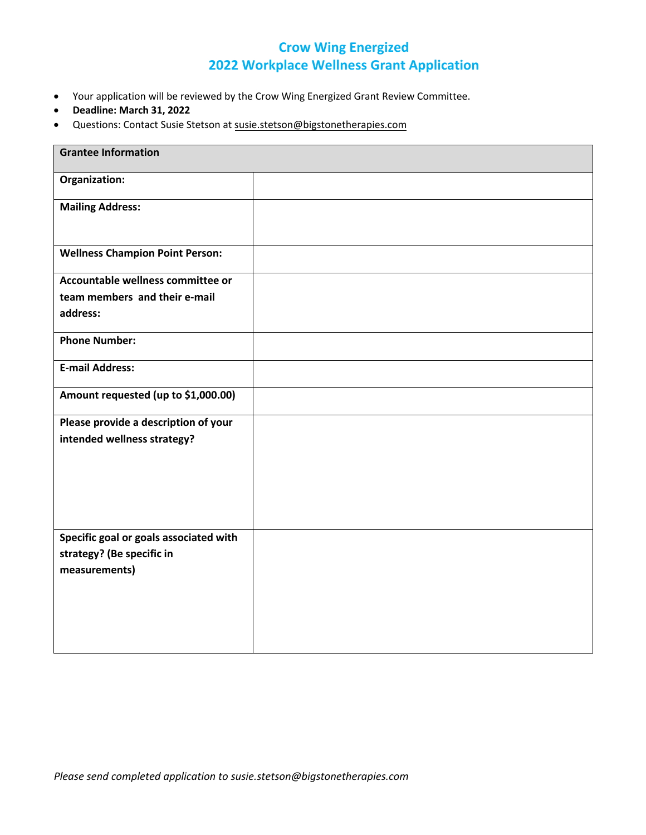## **Crow Wing Energized 2022 Workplace Wellness Grant Application**

- Your application will be reviewed by the Crow Wing Energized Grant Review Committee.
- **Deadline: March 31, 2022**
- Questions: Contact Susie Stetson at [susie.stetson@bigstonetherapies.c](mailto:kalsey.stults@essentiahealth.org)om

| <b>Grantee Information</b>                                                           |  |
|--------------------------------------------------------------------------------------|--|
| Organization:                                                                        |  |
| <b>Mailing Address:</b>                                                              |  |
| <b>Wellness Champion Point Person:</b>                                               |  |
| Accountable wellness committee or<br>team members and their e-mail<br>address:       |  |
| <b>Phone Number:</b>                                                                 |  |
| <b>E-mail Address:</b>                                                               |  |
| Amount requested (up to \$1,000.00)                                                  |  |
| Please provide a description of your<br>intended wellness strategy?                  |  |
| Specific goal or goals associated with<br>strategy? (Be specific in<br>measurements) |  |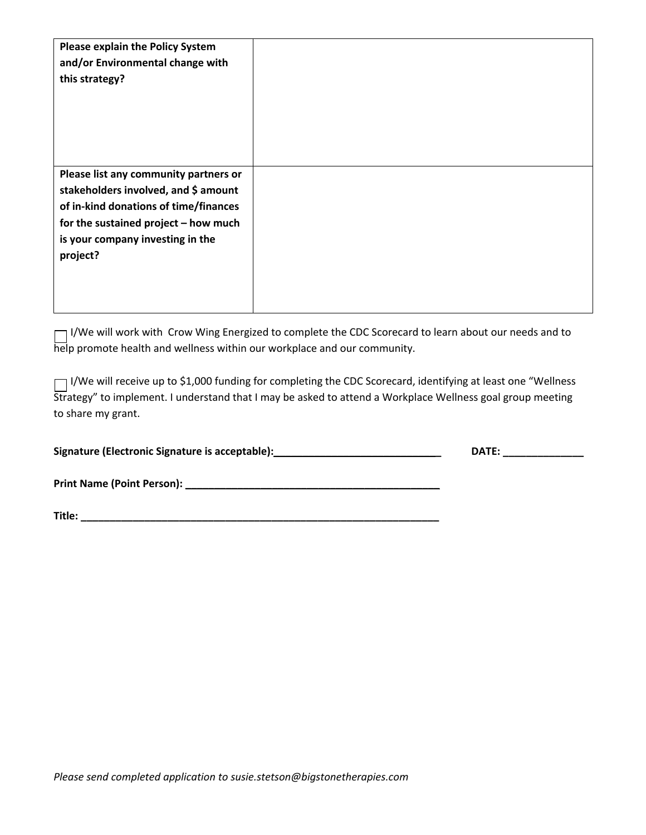| <b>Please explain the Policy System</b> |  |
|-----------------------------------------|--|
| and/or Environmental change with        |  |
| this strategy?                          |  |
|                                         |  |
|                                         |  |
|                                         |  |
|                                         |  |
|                                         |  |
| Please list any community partners or   |  |
| stakeholders involved, and \$ amount    |  |
| of in-kind donations of time/finances   |  |
| for the sustained project - how much    |  |
| is your company investing in the        |  |
| project?                                |  |
|                                         |  |
|                                         |  |
|                                         |  |

I/We will work with Crow Wing Energized to complete the CDC Scorecard to learn about our needs and to help promote health and wellness within our workplace and our community.

I/We will receive up to \$1,000 funding for completing the CDC Scorecard, identifying at least one "Wellness Strategy" to implement. I understand that I may be asked to attend a Workplace Wellness goal group meeting to share my grant.

| Signature (Electronic Signature is acceptable): | DATE. |
|-------------------------------------------------|-------|
|                                                 |       |

**Print Name (Point Person): \_\_\_\_\_\_\_\_\_\_\_\_\_\_\_\_\_\_\_\_\_\_\_\_\_\_\_\_\_\_\_\_\_\_\_\_\_\_\_\_\_\_\_\_** 

**Title: \_\_\_\_\_\_\_\_\_\_\_\_\_\_\_\_\_\_\_\_\_\_\_\_\_\_\_\_\_\_\_\_\_\_\_\_\_\_\_\_\_\_\_\_\_\_\_\_\_\_\_\_\_\_\_\_\_\_\_\_\_\_**